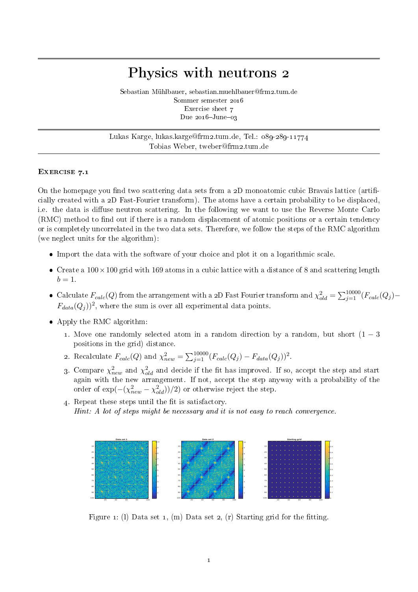## Physics with neutrons 2

Sebastian Mühlbauer, sebastian.muehlbauer@frm2.tum.de Sommer semester 2016 Exercise sheet 7 Due  $2016 - \text{June} - 03$ 

Lukas Karge, lukas.karge@frm2.tum.de, Tel.: 089-289-11774 Tobias Weber, tweber@frm2.tum.de

## EXERCISE 7.1

On the homepage you find two scattering data sets from a  $2D$  monoatomic cubic Bravais lattice (artificially created with a 2D Fast-Fourier transform). The atoms have a certain probability to be displaced, i.e. the data is diffuse neutron scattering. In the following we want to use the Reverse Monte Carlo  $(RMC)$  method to find out if there is a random displacement of atomic positions or a certain tendency or is completely uncorrelated in the two data sets. Therefore, we follow the steps of the RMC algorithm (we neglect units for the algorithm):

- Import the data with the software of your choice and plot it on a logarithmic scale.
- Create a  $100 \times 100$  grid with 169 atoms in a cubic lattice with a distance of 8 and scattering length  $b=1$ .
- Calculate  $F_{calc}(Q)$  from the arrangement with a 2D Fast Fourier transform and  $\chi^2_{old} = \sum_{j=1}^{10000} (F_{calc}(Q_j) F_{data}(Q_j)$ <sup>2</sup>, where the sum is over all experimental data points.
- Apply the RMC algorithm:
	- 1. Move one randomly selected atom in a random direction by a random, but short  $(1 3)$ positions in the grid) distance.
	- 2. Recalculate  $F_{calc}(Q)$  and  $\chi^2_{new} = \sum_{j=1}^{10000} (F_{calc}(Q_j) F_{data}(Q_j))^2$ .
	- 3. Compare  $\chi^2_{new}$  and  $\chi^2_{old}$  and decide if the fit has improved. If so, accept the step and start again with the new arrangement. If not, accept the step anyway with a probability of the order of  $\exp(-( \chi^2_{new} - \chi^2_{old}))/2)$  or otherwise reject the step.
	- 4. Repeat these steps until the fit is satisfactory. Hint: A lot of steps might be necessary and it is not easy to reach convergence.



Figure 1: (1) Data set 1, (m) Data set 2, (r) Starting grid for the fitting.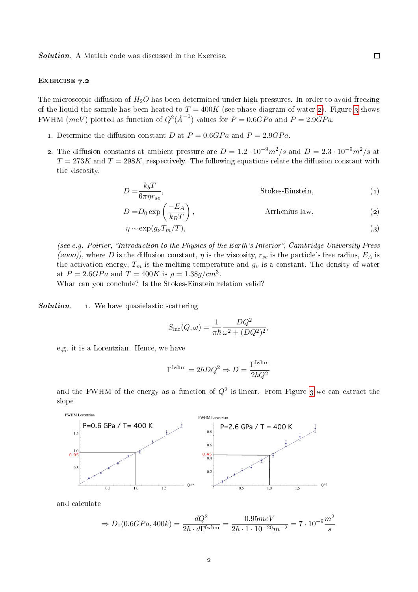Solution. A Matlab code was discussed in the Exercise.

## EXERCISE 7.2

The microscopic diffusion of  $H_2O$  has been determined under high pressures. In order to avoid freezing of the liquid the sample has been heated to  $T = 400K$  (see phase diagram of water [2\)](#page-3-0). Figure [3](#page-3-1) shows FWHM (meV) plotted as function of  $Q^2(A^{-1})$  values for  $P = 0.6GPa$  and  $P = 2.9GPa$ .

- 1. Determine the diffusion constant D at  $P = 0.6GPa$  and  $P = 2.9GPa$ .
- 2. The diffusion constants at ambient pressure are  $D = 1.2 \cdot 10^{-9} m^2/s$  and  $D = 2.3 \cdot 10^{-9} m^2/s$  at  $T = 273K$  and  $T = 298K$ , respectively. The following equations relate the diffusion constant with the viscosity.

$$
D = \frac{k_b T}{6 \pi \eta r_{se}},
$$
 Stokes-Einstein, (1)

$$
D = D_0 \exp\left(\frac{-E_A}{k_B T}\right),\tag{2}
$$
 Arrhenius law,

$$
\eta \sim \exp(g_{\nu} T_m/T),\tag{3}
$$

(see e.g. Poirier, Introduction to the Physics of the Earth's Interior, Cambridge University Press (2000)), where D is the diffusion constant,  $\eta$  is the viscosity,  $r_{se}$  is the particle's free radius,  $E_A$  is the activation energy,  $T_m$  is the melting temperature and  $g_{\nu}$  is a constant. The density of water at  $P = 2.6GPa$  and  $T = 400K$  is  $\rho = 1.38g/cm^3$ .

What can you conclude? Is the Stokes-Einstein relation valid?

Solution. 1. We have quasielastic scattering

<span id="page-1-0"></span>
$$
S_{\rm inc}(Q,\omega) = \frac{1}{\pi \hbar} \frac{DQ^2}{\omega^2 + (DQ^2)^2},
$$

e.g. it is a Lorentzian. Hence, we have

$$
\Gamma^{\rm fwhm}=2\hbar DQ^2\Rightarrow D=\frac{\Gamma^{\rm fwhm}}{2\hbar Q^2}
$$

and the FWHM of the energy as a function of  $Q^2$  is linear. From Figure [3](#page-3-1) we can extract the slope



and calculate

$$
\Rightarrow D_1(0.6GPa, 400k) = \frac{dQ^2}{2\hbar \cdot d\Gamma^{\text{fwhm}}} = \frac{0.95meV}{2\hbar \cdot 1 \cdot 10^{-20}m^{-2}} = 7 \cdot 10^{-9} \frac{m^2}{s}
$$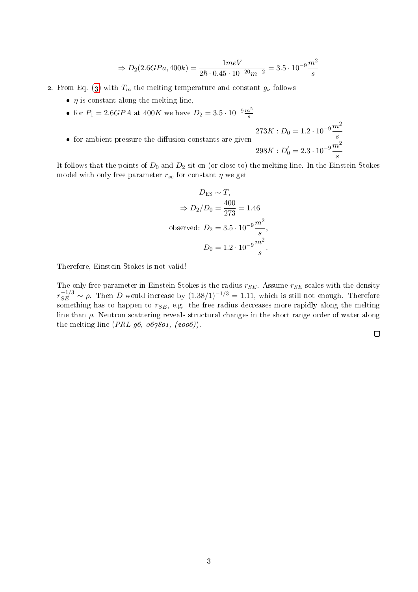$$
\Rightarrow D_2(2.6GPa, 400k) = \frac{1meV}{2\hbar \cdot 0.45 \cdot 10^{-20}m^{-2}} = 3.5 \cdot 10^{-9} \frac{m^2}{s}
$$

- 2. From Eq. [\(3\)](#page-1-0) with  $T_m$  the melting temperature and constant  $g_{\nu}$  follows
	- $\bullet$   $\eta$  is constant along the melting line,
	- for  $P_1 = 2.6GPA$  at  $400K$  we have  $D_2 = 3.5 \cdot 10^{-9} \frac{m^2}{s}$

$$
\bullet\ \hbox{for ambient pressure the diffusion constants are given}\\273K: D_0=1.2\cdot 10^{-9}\frac{m^2}{s}\\298K: D_0'=2.3\cdot 10^{-9}\frac{m^2}{s}
$$

It follows that the points of  $D_0$  and  $D_2$  sit on (or close to) the melting line. In the Einstein-Stokes model with only free parameter  $r_{se}$  for constant  $\eta$  we get

$$
D_{\rm ES} \sim T,
$$
  
\n
$$
\Rightarrow D_2/D_0 = \frac{400}{273} = 1.46
$$
  
\nobserved:  $D_2 = 3.5 \cdot 10^{-9} \frac{m^2}{s},$   
\n
$$
D_0 = 1.2 \cdot 10^{-9} \frac{m^2}{s}.
$$

Therefore, Einstein-Stokes is not valid!

The only free parameter in Einstein-Stokes is the radius  $r_{SE}$ . Assume  $r_{SE}$  scales with the density  $r_{SE}^{-1/3} \sim \rho$ . Then D would increase by  $(1.38/1)^{-1/3} = 1.11$ , which is still not enough. Therefore something has to happen to  $r_{SE}$ , e.g. the free radius decreases more rapidly along the melting line than  $\rho$ . Neutron scattering reveals structural changes in the short range order of water along the melting line  $(PRL\ 96, 06\gamma801, (2006))$ .

 $\Box$